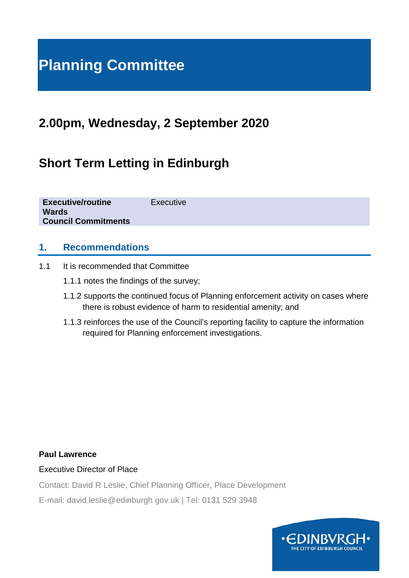# **Planning Committee**

# **2.00pm, Wednesday, 2 September 2020**

# **Short Term Letting in Edinburgh**

| <b>Executive/routine</b><br><b>Wards</b> | Executive |
|------------------------------------------|-----------|
| <b>Council Commitments</b>               |           |
|                                          |           |

#### **1. Recommendations**

- 1.1 It is recommended that Committee
	- 1.1.1 notes the findings of the survey;
	- 1.1.2 supports the continued focus of Planning enforcement activity on cases where there is robust evidence of harm to residential amenity; and
	- 1.1.3 reinforces the use of the Council's reporting facility to capture the information required for Planning enforcement investigations.

#### **Paul Lawrence**

Executive Director of Place

Contact: David R Leslie, Chief Planning Officer, Place Development

E-mail: david.leslie@edinburgh.gov.uk | Tel: 0131 529 3948

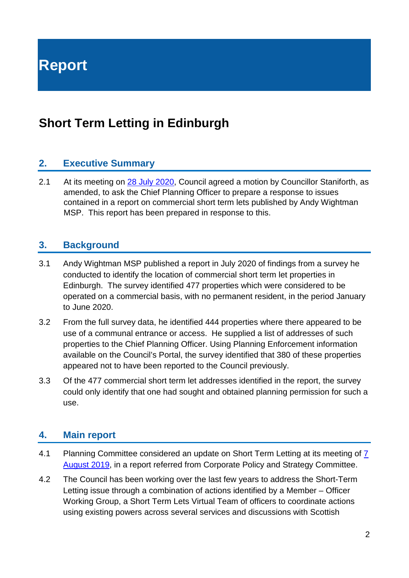**Report**

# **Short Term Letting in Edinburgh**

#### **2. Executive Summary**

2.1 At its meeting on [28 July 2020,](https://democracy.edinburgh.gov.uk/documents/b16616/Motions%20and%20Amendments%2028th-Jul-2020%2010.00%20City%20of%20Edinburgh%20Council.pdf?T=9) Council agreed a motion by Councillor Staniforth, as amended, to ask the Chief Planning Officer to prepare a response to issues contained in a report on commercial short term lets published by Andy Wightman MSP. This report has been prepared in response to this.

#### **3. Background**

- 3.1 Andy Wightman MSP published a report in July 2020 of findings from a survey he conducted to identify the location of commercial short term let properties in Edinburgh. The survey identified 477 properties which were considered to be operated on a commercial basis, with no permanent resident, in the period January to June 2020.
- 3.2 From the full survey data, he identified 444 properties where there appeared to be use of a communal entrance or access. He supplied a list of addresses of such properties to the Chief Planning Officer. Using Planning Enforcement information available on the Council's Portal, the survey identified that 380 of these properties appeared not to have been reported to the Council previously.
- 3.3 Of the 477 commercial short term let addresses identified in the report, the survey could only identify that one had sought and obtained planning permission for such a use.

#### **4. Main report**

- 4.1 Planning Committee considered an update on Short Term Letting at its meeting of 7 [August 2019,](https://democracy.edinburgh.gov.uk/documents/s4153/8.2%20-%20Short%20Term%20Letting%20In%20Edinburgh%20Update%20-%20Ref%20from%20CP%20and%20S%20Cttee.pdf) in a report referred from Corporate Policy and Strategy Committee.
- 4.2 The Council has been working over the last few years to address the Short-Term Letting issue through a combination of actions identified by a Member – Officer Working Group, a Short Term Lets Virtual Team of officers to coordinate actions using existing powers across several services and discussions with Scottish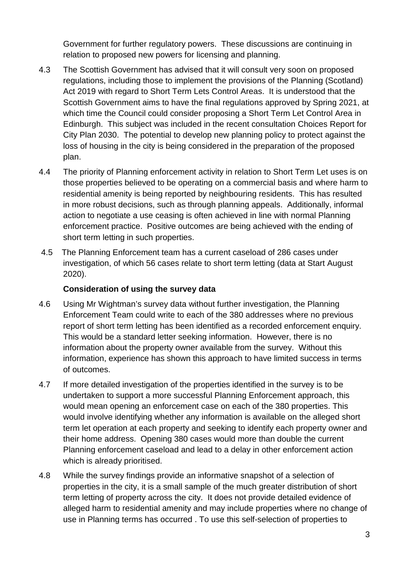Government for further regulatory powers. These discussions are continuing in relation to proposed new powers for licensing and planning.

- 4.3 The Scottish Government has advised that it will consult very soon on proposed regulations, including those to implement the provisions of the Planning (Scotland) Act 2019 with regard to Short Term Lets Control Areas. It is understood that the Scottish Government aims to have the final regulations approved by Spring 2021, at which time the Council could consider proposing a Short Term Let Control Area in Edinburgh. This subject was included in the recent consultation Choices Report for City Plan 2030. The potential to develop new planning policy to protect against the loss of housing in the city is being considered in the preparation of the proposed plan.
- 4.4 The priority of Planning enforcement activity in relation to Short Term Let uses is on those properties believed to be operating on a commercial basis and where harm to residential amenity is being reported by neighbouring residents. This has resulted in more robust decisions, such as through planning appeals. Additionally, informal action to negotiate a use ceasing is often achieved in line with normal Planning enforcement practice. Positive outcomes are being achieved with the ending of short term letting in such properties.
- 4.5 The Planning Enforcement team has a current caseload of 286 cases under investigation, of which 56 cases relate to short term letting (data at Start August 2020).

#### **Consideration of using the survey data**

- 4.6 Using Mr Wightman's survey data without further investigation, the Planning Enforcement Team could write to each of the 380 addresses where no previous report of short term letting has been identified as a recorded enforcement enquiry. This would be a standard letter seeking information. However, there is no information about the property owner available from the survey. Without this information, experience has shown this approach to have limited success in terms of outcomes.
- 4.7 If more detailed investigation of the properties identified in the survey is to be undertaken to support a more successful Planning Enforcement approach, this would mean opening an enforcement case on each of the 380 properties. This would involve identifying whether any information is available on the alleged short term let operation at each property and seeking to identify each property owner and their home address. Opening 380 cases would more than double the current Planning enforcement caseload and lead to a delay in other enforcement action which is already prioritised.
- 4.8 While the survey findings provide an informative snapshot of a selection of properties in the city, it is a small sample of the much greater distribution of short term letting of property across the city. It does not provide detailed evidence of alleged harm to residential amenity and may include properties where no change of use in Planning terms has occurred . To use this self-selection of properties to